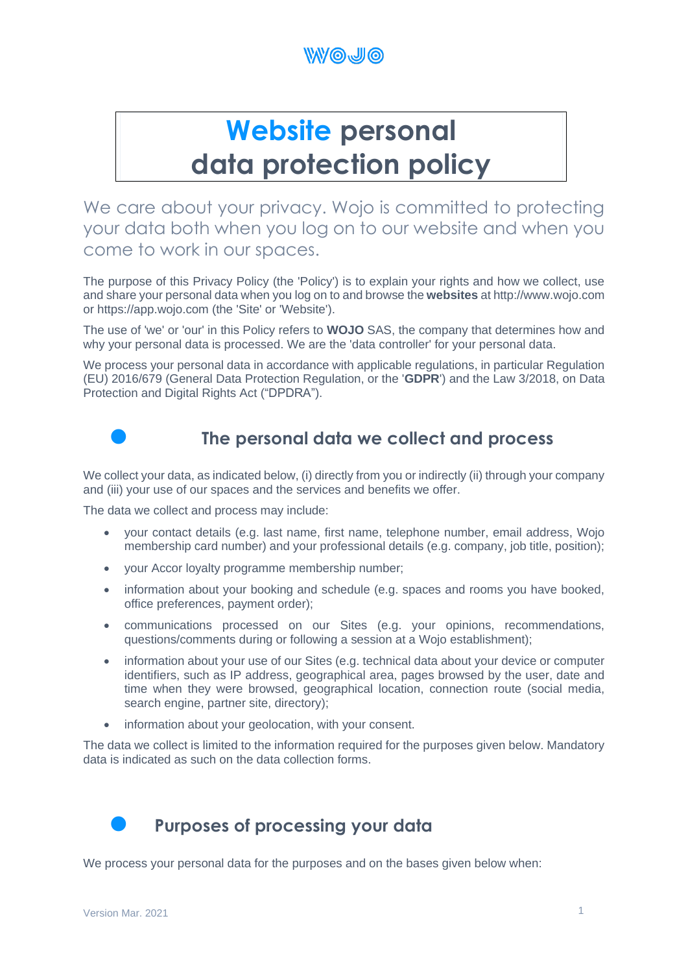

# **Website personal data protection policy**

We care about your privacy. Wojo is committed to protecting your data both when you log on to our website and when you come to work in our spaces.

The purpose of this Privacy Policy (the 'Policy') is to explain your rights and how we collect, use and share your personal data when you log on to and browse the **websites** at http://www.wojo.com or https://app.wojo.com (the 'Site' or 'Website').

The use of 'we' or 'our' in this Policy refers to **WOJO** SAS, the company that determines how and why your personal data is processed. We are the 'data controller' for your personal data.

We process your personal data in accordance with applicable regulations, in particular Regulation (EU) 2016/679 (General Data Protection Regulation, or the '**GDPR**') and the Law 3/2018, on Data Protection and Digital Rights Act ("DPDRA").



## • **The personal data we collect and process**

We collect your data, as indicated below, (i) directly from you or indirectly (ii) through your company and (iii) your use of our spaces and the services and benefits we offer.

The data we collect and process may include:

- your contact details (e.g. last name, first name, telephone number, email address, Wojo membership card number) and your professional details (e.g. company, job title, position);
- your Accor loyalty programme membership number;
- information about your booking and schedule (e.g. spaces and rooms you have booked, office preferences, payment order);
- communications processed on our Sites (e.g. your opinions, recommendations, questions/comments during or following a session at a Wojo establishment);
- information about your use of our Sites (e.g. technical data about your device or computer identifiers, such as IP address, geographical area, pages browsed by the user, date and time when they were browsed, geographical location, connection route (social media, search engine, partner site, directory);
- information about your geolocation, with your consent.

The data we collect is limited to the information required for the purposes given below. Mandatory data is indicated as such on the data collection forms.

• **Purposes of processing your data**

We process your personal data for the purposes and on the bases given below when: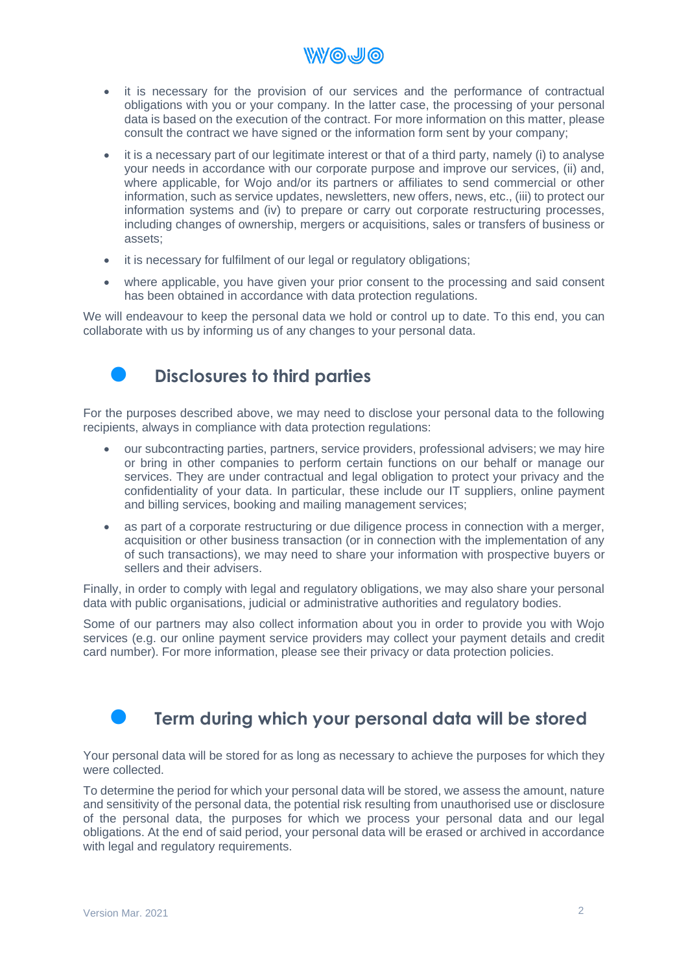• it is necessary for the provision of our services and the performance of contractual obligations with you or your company. In the latter case, the processing of your personal data is based on the execution of the contract. For more information on this matter, please consult the contract we have signed or the information form sent by your company;

**WWOJO** 

- it is a necessary part of our legitimate interest or that of a third party, namely (i) to analyse your needs in accordance with our corporate purpose and improve our services, (ii) and, where applicable, for Wojo and/or its partners or affiliates to send commercial or other information, such as service updates, newsletters, new offers, news, etc., (iii) to protect our information systems and (iv) to prepare or carry out corporate restructuring processes, including changes of ownership, mergers or acquisitions, sales or transfers of business or assets;
- it is necessary for fulfilment of our legal or regulatory obligations:
- where applicable, you have given your prior consent to the processing and said consent has been obtained in accordance with data protection regulations.

We will endeavour to keep the personal data we hold or control up to date. To this end, you can collaborate with us by informing us of any changes to your personal data.

## • **Disclosures to third parties**

For the purposes described above, we may need to disclose your personal data to the following recipients, always in compliance with data protection regulations:

- our subcontracting parties, partners, service providers, professional advisers; we may hire or bring in other companies to perform certain functions on our behalf or manage our services. They are under contractual and legal obligation to protect your privacy and the confidentiality of your data. In particular, these include our IT suppliers, online payment and billing services, booking and mailing management services;
- as part of a corporate restructuring or due diligence process in connection with a merger, acquisition or other business transaction (or in connection with the implementation of any of such transactions), we may need to share your information with prospective buyers or sellers and their advisers.

Finally, in order to comply with legal and regulatory obligations, we may also share your personal data with public organisations, judicial or administrative authorities and regulatory bodies.

Some of our partners may also collect information about you in order to provide you with Wojo services (e.g. our online payment service providers may collect your payment details and credit card number). For more information, please see their privacy or data protection policies.



# • **Term during which your personal data will be stored**

Your personal data will be stored for as long as necessary to achieve the purposes for which they were collected.

To determine the period for which your personal data will be stored, we assess the amount, nature and sensitivity of the personal data, the potential risk resulting from unauthorised use or disclosure of the personal data, the purposes for which we process your personal data and our legal obligations. At the end of said period, your personal data will be erased or archived in accordance with legal and regulatory requirements.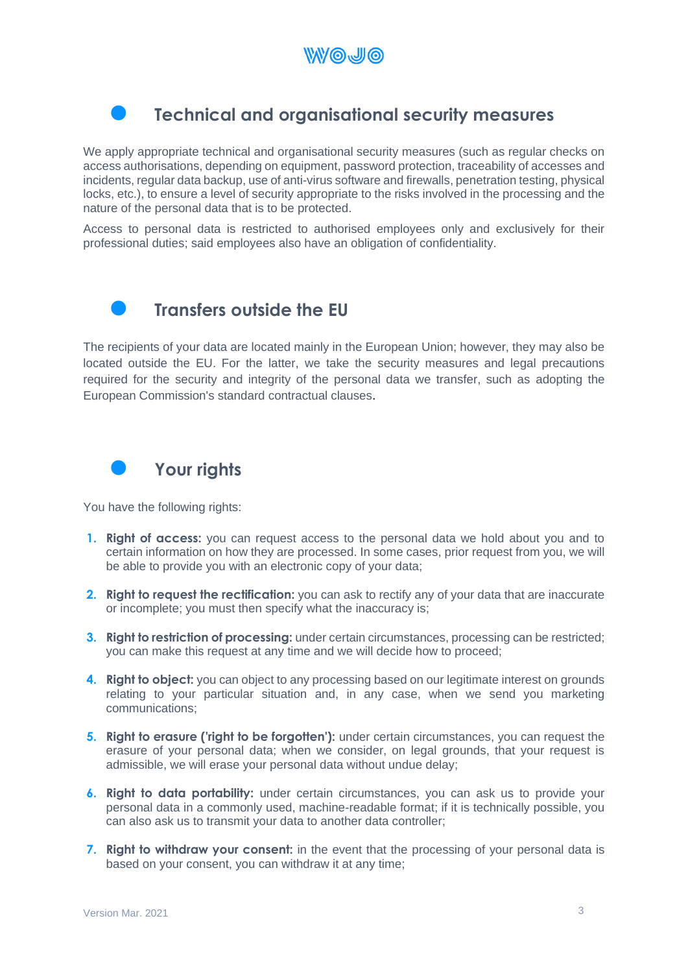

## • **Technical and organisational security measures**

We apply appropriate technical and organisational security measures (such as regular checks on access authorisations, depending on equipment, password protection, traceability of accesses and incidents, regular data backup, use of anti-virus software and firewalls, penetration testing, physical locks, etc.), to ensure a level of security appropriate to the risks involved in the processing and the nature of the personal data that is to be protected.

Access to personal data is restricted to authorised employees only and exclusively for their professional duties; said employees also have an obligation of confidentiality.



## • **Transfers outside the EU**

The recipients of your data are located mainly in the European Union; however, they may also be located outside the EU. For the latter, we take the security measures and legal precautions required for the security and integrity of the personal data we transfer, such as adopting the European Commission's standard contractual clauses.



You have the following rights:

- **1. Right of access:** you can request access to the personal data we hold about you and to certain information on how they are processed. In some cases, prior request from you, we will be able to provide you with an electronic copy of your data;
- **2. Right to request the rectification:** you can ask to rectify any of your data that are inaccurate or incomplete; you must then specify what the inaccuracy is;
- **3. Right to restriction of processing:** under certain circumstances, processing can be restricted; you can make this request at any time and we will decide how to proceed;
- **4. Right to object:** you can object to any processing based on our legitimate interest on grounds relating to your particular situation and, in any case, when we send you marketing communications;
- **5. Right to erasure ('right to be forgotten'):** under certain circumstances, you can request the erasure of your personal data; when we consider, on legal grounds, that your request is admissible, we will erase your personal data without undue delay;
- **6. Right to data portability:** under certain circumstances, you can ask us to provide your personal data in a commonly used, machine-readable format; if it is technically possible, you can also ask us to transmit your data to another data controller;
- **7. Right to withdraw your consent:** in the event that the processing of your personal data is based on your consent, you can withdraw it at any time;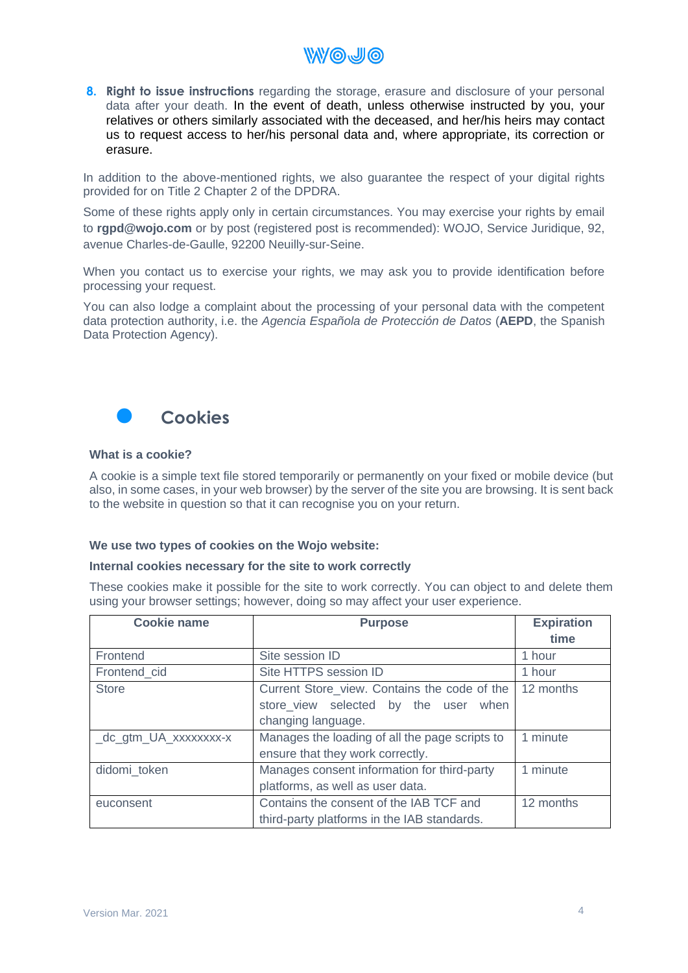

**8. Right to issue instructions** regarding the storage, erasure and disclosure of your personal data after your death. In the event of death, unless otherwise instructed by you, your relatives or others similarly associated with the deceased, and her/his heirs may contact us to request access to her/his personal data and, where appropriate, its correction or erasure.

In addition to the above-mentioned rights, we also guarantee the respect of your digital rights provided for on Title 2 Chapter 2 of the DPDRA.

Some of these rights apply only in certain circumstances. You may exercise your rights by email to **[rgpd@wojo.com](mailto:rgpd@wojo.com)** or by post (registered post is recommended): WOJO, Service Juridique, 92, avenue Charles-de-Gaulle, 92200 Neuilly-sur-Seine.

When you contact us to exercise your rights, we may ask you to provide identification before processing your request.

You can also lodge a complaint about the processing of your personal data with the competent data protection authority, i.e. the *Agencia Española de Protección de Datos* (**AEPD**, the Spanish Data Protection Agency).



#### **What is a cookie?**

A cookie is a simple text file stored temporarily or permanently on your fixed or mobile device (but also, in some cases, in your web browser) by the server of the site you are browsing. It is sent back to the website in question so that it can recognise you on your return.

#### **We use two types of cookies on the Wojo website:**

#### **Internal cookies necessary for the site to work correctly**

These cookies make it possible for the site to work correctly. You can object to and delete them using your browser settings; however, doing so may affect your user experience.

| <b>Cookie name</b>    | <b>Purpose</b>                                 | <b>Expiration</b> |
|-----------------------|------------------------------------------------|-------------------|
|                       |                                                | time              |
| Frontend              | Site session ID                                | 1 hour            |
| Frontend_cid          | Site HTTPS session ID                          | 1 hour            |
| <b>Store</b>          | Current Store_view. Contains the code of the   | 12 months         |
|                       | store view selected by the user<br>when        |                   |
|                       | changing language.                             |                   |
| _dc_gtm_UA_xxxxxxxx-x | Manages the loading of all the page scripts to | 1 minute          |
|                       | ensure that they work correctly.               |                   |
| didomi_token          | Manages consent information for third-party    | 1 minute          |
|                       | platforms, as well as user data.               |                   |
| euconsent             | Contains the consent of the IAB TCF and        | 12 months         |
|                       | third-party platforms in the IAB standards.    |                   |